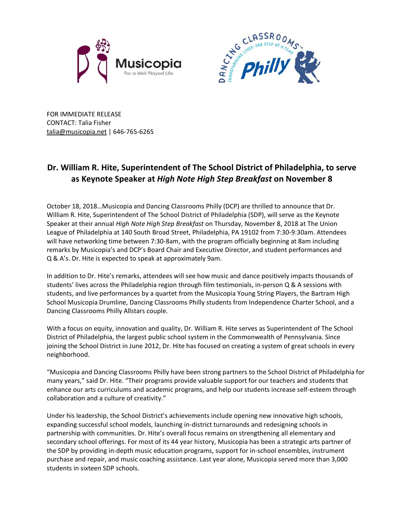



FOR IMMEDIATE RELEASE CONTACT: Talia Fisher [talia@musicopia.net](mailto:talia@musicopia.net) | 646-765-6265

## **Dr. William R. Hite, Superintendent of The School District of Philadelphia, to serve as Keynote Speaker at** *High Note High Step Breakfast* **on November 8**

October 18, 2018…Musicopia and Dancing Classrooms Philly (DCP) are thrilled to announce that Dr. William R. Hite, Superintendent of The School District of Philadelphia (SDP), will serve as the Keynote Speaker at their annual *High Note High Step Breakfast* on Thursday, November 8, 2018 at The Union League of Philadelphia at 140 South Broad Street, Philadelphia, PA 19102 from 7:30-9:30am. Attendees will have networking time between 7:30-8am, with the program officially beginning at 8am including remarks by Musicopia's and DCP's Board Chair and Executive Director, and student performances and Q & A's. Dr. Hite is expected to speak at approximately 9am.

In addition to Dr. Hite's remarks, attendees will see how music and dance positively impacts thousands of students' lives across the Philadelphia region through film testimonials, in-person Q & A sessions with students, and live performances by a quartet from the Musicopia Young String Players, the Bartram High School Musicopia Drumline, Dancing Classrooms Philly students from Independence Charter School, and a Dancing Classrooms Philly Allstars couple.

With a focus on equity, innovation and quality, Dr. William R. Hite serves as Superintendent of The School District of Philadelphia, the largest public school system in the Commonwealth of Pennsylvania. Since joining the School District in June 2012, Dr. Hite has focused on creating a system of great schools in every neighborhood.

"Musicopia and Dancing Classrooms Philly have been strong partners to the School District of Philadelphia for many years," said Dr. Hite. "Their programs provide valuable support for our teachers and students that enhance our arts curriculums and academic programs, and help our students increase self-esteem through collaboration and a culture of creativity."

Under his leadership, the School District's achievements include opening new innovative high schools, expanding successful school models, launching in-district turnarounds and redesigning schools in partnership with communities. Dr. Hite's overall focus remains on strengthening all elementary and secondary school offerings. For most of its 44 year history, Musicopia has been a strategic arts partner of the SDP by providing in-depth music education programs, support for in-school ensembles, instrument purchase and repair, and music coaching assistance. Last year alone, Musicopia served more than 3,000 students in sixteen SDP schools.